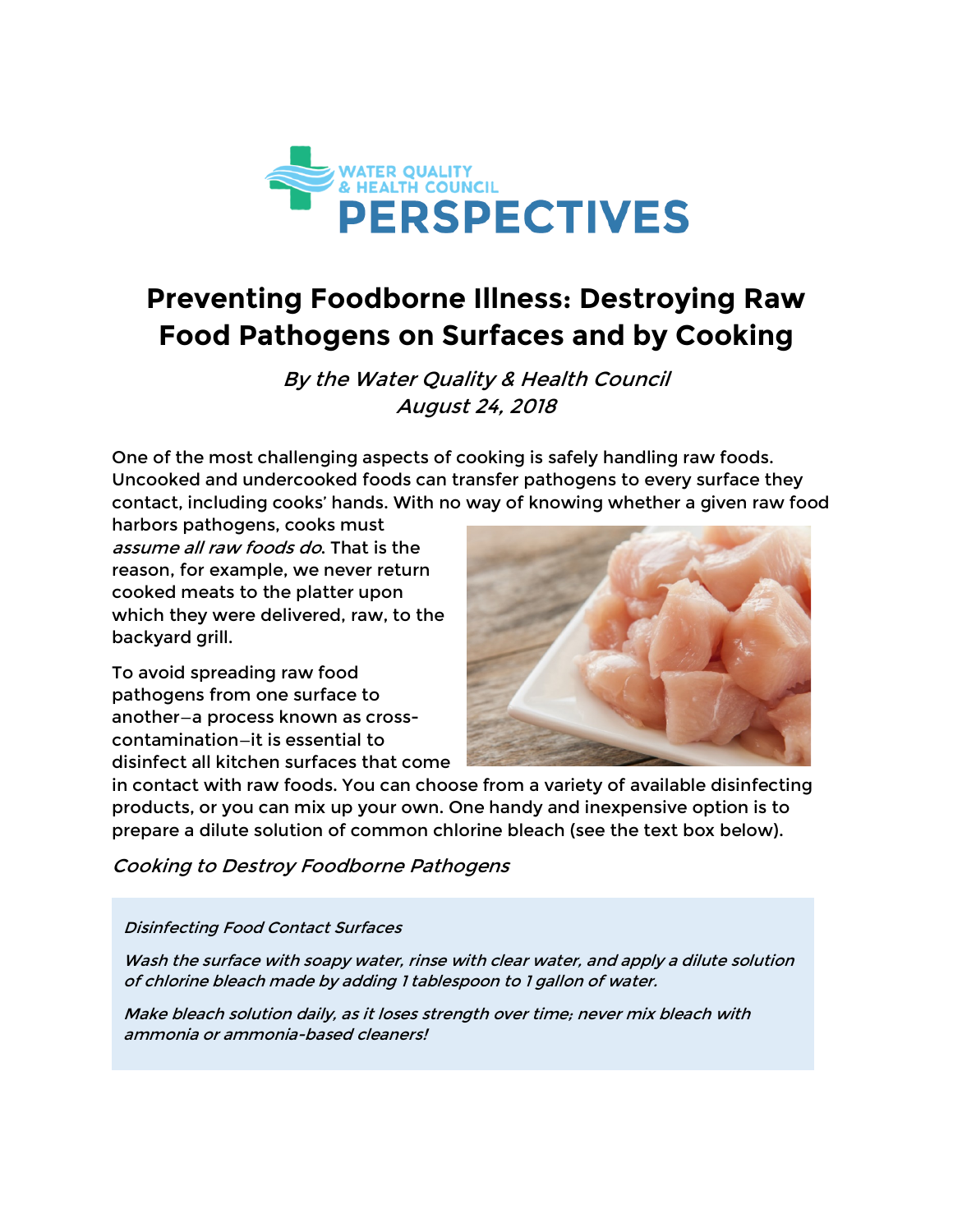

# **Preventing Foodborne Illness: Destroying Raw Food Pathogens on Surfaces and by Cooking**

By the Water Quality & Health Council August 24, 2018

One of the most challenging aspects of cooking is safely handling raw foods. Uncooked and undercooked foods can transfer pathogens to every surface they contact, including cooks' hands. With no way of knowing whether a given raw food

harbors pathogens, cooks must assume all raw foods do. That is the reason, for example, we never return cooked meats to the platter upon which they were delivered, raw, to the backyard grill.

To avoid spreading raw food pathogens from one surface to another—a process known as crosscontamination—it is essential to disinfect all kitchen surfaces that come



in contact with raw foods. You can choose from a variety of available disinfecting products, or you can mix up your own. One handy and inexpensive option is to prepare a dilute solution of common chlorine bleach (see the text box below).

Cooking to Destroy Foodborne Pathogens

#### Disinfecting Food Contact Surfaces

Wash the surface with soapy water, rinse with clear water, and apply a dilute solution of chlorine bleach made by adding 1 tablespoon to 1 gallon of water.

Make bleach solution daily, as it loses strength over time; never mix bleach with ammonia or ammonia-based cleaners!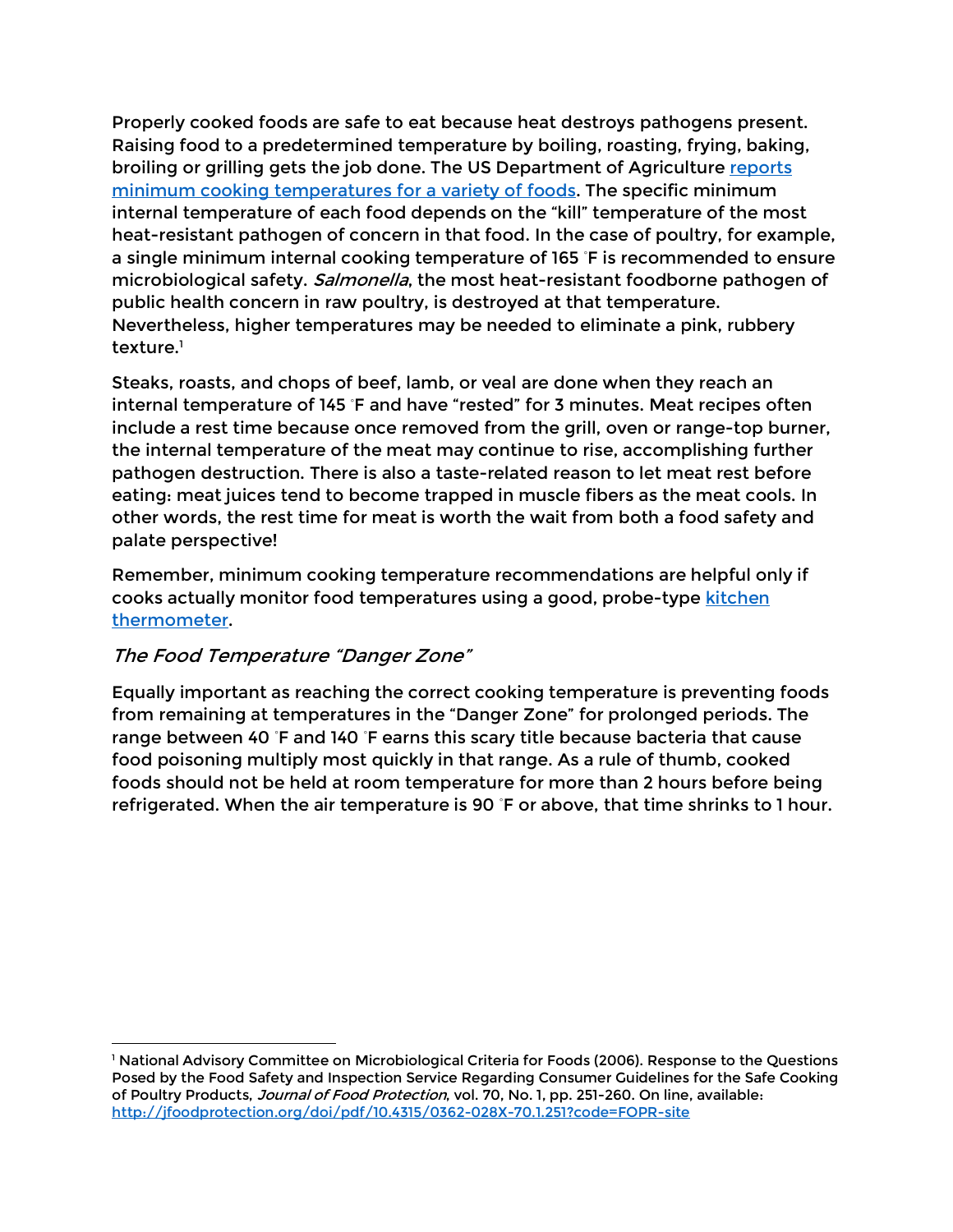Properly cooked foods are safe to eat because heat destroys pathogens present. Raising food to a predetermined temperature by boiling, roasting, frying, baking, broiling or grilling gets the job done. The US Department of Agriculture reports minimum cooking temperatures for a variety of foods. The specific minimum internal temperature of each food depends on the "kill" temperature of the most heat-resistant pathogen of concern in that food. In the case of poultry, for example, a single minimum internal cooking temperature of 165 ◦ F is recommended to ensure microbiological safety. Salmonella, the most heat-resistant foodborne pathogen of public health concern in raw poultry, is destroyed at that temperature. Nevertheless, higher temperatures may be needed to eliminate a pink, rubbery texture.<sup>1</sup>

Steaks, roasts, and chops of beef, lamb, or veal are done when they reach an internal temperature of 145 ◦ F and have "rested" for 3 minutes. Meat recipes often include a rest time because once removed from the grill, oven or range-top burner, the internal temperature of the meat may continue to rise, accomplishing further pathogen destruction. There is also a taste-related reason to let meat rest before eating: meat juices tend to become trapped in muscle fibers as the meat cools. In other words, the rest time for meat is worth the wait from both a food safety and palate perspective!

Remember, minimum cooking temperature recommendations are helpful only if cooks actually monitor food temperatures using a good, probe-type kitchen thermometer.

### The Food Temperature "Danger Zone"

 $\overline{a}$ 

Equally important as reaching the correct cooking temperature is preventing foods from remaining at temperatures in the "Danger Zone" for prolonged periods. The range between 40 °F and 140 °F earns this scary title because bacteria that cause food poisoning multiply most quickly in that range. As a rule of thumb, cooked foods should not be held at room temperature for more than 2 hours before being refrigerated. When the air temperature is 90 ◦ F or above, that time shrinks to 1 hour.

<sup>&</sup>lt;sup>1</sup> National Advisory Committee on Microbiological Criteria for Foods (2006). Response to the Questions Posed by the Food Safety and Inspection Service Regarding Consumer Guidelines for the Safe Cooking of Poultry Products, Journal of Food Protection, vol. 70, No. 1, pp. 251-260. On line, available: http://jfoodprotection.org/doi/pdf/10.4315/0362-028X-70.1.251?code=FOPR-site